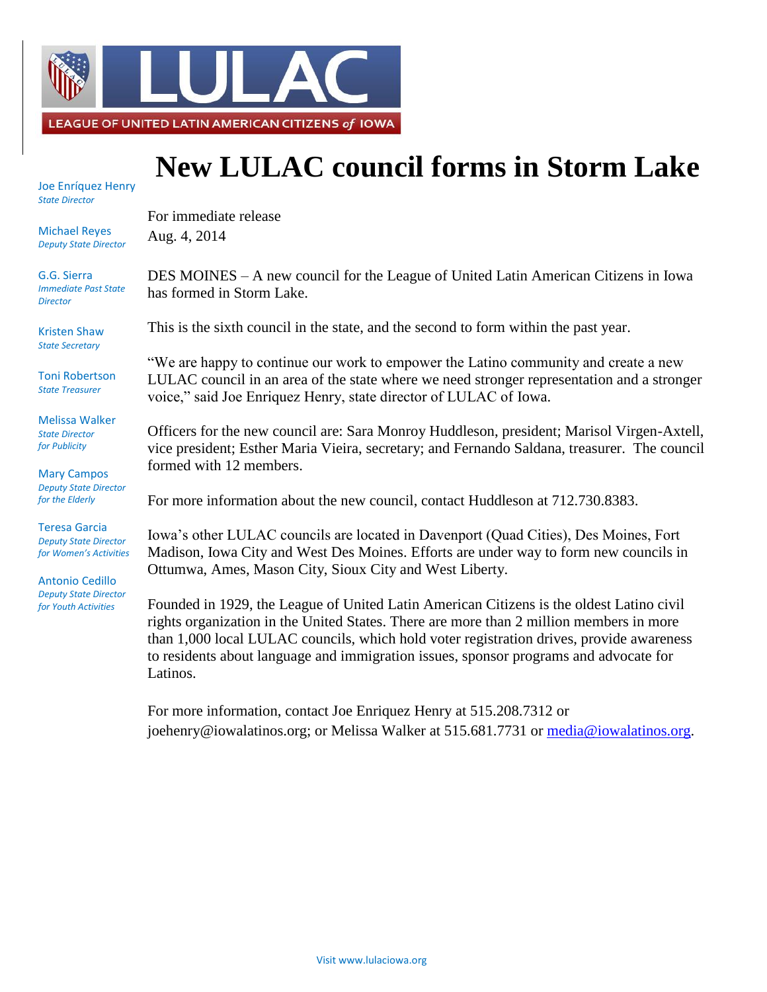

## **New LULAC council forms in Storm Lake**

Joe Enríquez Henry *State Director*

Michael Reyes *Deputy State Director*

G.G. Sierra *Immediate Past State Director*

Kristen Shaw *State Secretary*

Toni Robertson *State Treasurer*

Melissa Walker *State Director for Publicity*

Mary Campos *Deputy State Director for the Elderly*

Teresa Garcia *Deputy State Director for Women's Activities*

Antonio Cedillo *Deputy State Director for Youth Activities*

For immediate release Aug. 4, 2014

DES MOINES – A new council for the League of United Latin American Citizens in Iowa has formed in Storm Lake.

This is the sixth council in the state, and the second to form within the past year.

"We are happy to continue our work to empower the Latino community and create a new LULAC council in an area of the state where we need stronger representation and a stronger voice," said Joe Enriquez Henry, state director of LULAC of Iowa.

Officers for the new council are: Sara Monroy Huddleson, president; Marisol Virgen-Axtell, vice president; Esther Maria Vieira, secretary; and Fernando Saldana, treasurer. The council formed with 12 members.

For more information about the new council, contact Huddleson at 712.730.8383.

Iowa's other LULAC councils are located in Davenport (Quad Cities), Des Moines, Fort Madison, Iowa City and West Des Moines. Efforts are under way to form new councils in Ottumwa, Ames, Mason City, Sioux City and West Liberty.

Founded in 1929, the League of United Latin American Citizens is the oldest Latino civil rights organization in the United States. There are more than 2 million members in more than 1,000 local LULAC councils, which hold voter registration drives, provide awareness to residents about language and immigration issues, sponsor programs and advocate for Latinos.

For more information, contact Joe Enriquez Henry at 515.208.7312 or joehenry@iowalatinos.org; or Melissa Walker at 515.681.7731 or [media@iowalatinos.org.](mailto:media@iowalatinos.org)